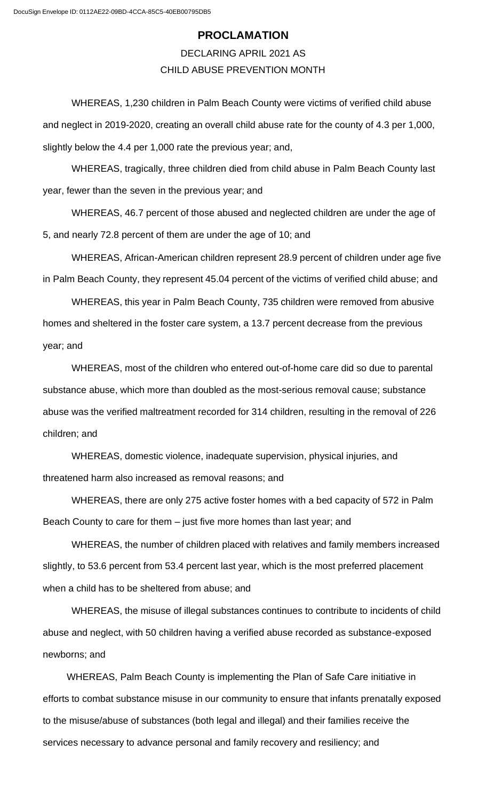## **PROCLAMATION**

## DECLARING APRIL 2021 AS CHILD ABUSE PREVENTION MONTH

WHEREAS, 1,230 children in Palm Beach County were victims of verified child abuse and neglect in 2019-2020, creating an overall child abuse rate for the county of 4.3 per 1,000, slightly below the 4.4 per 1,000 rate the previous year; and,

WHEREAS, tragically, three children died from child abuse in Palm Beach County last year, fewer than the seven in the previous year; and

WHEREAS, 46.7 percent of those abused and neglected children are under the age of 5, and nearly 72.8 percent of them are under the age of 10; and

WHEREAS, African-American children represent 28.9 percent of children under age five in Palm Beach County, they represent 45.04 percent of the victims of verified child abuse; and

WHEREAS, this year in Palm Beach County, 735 children were removed from abusive homes and sheltered in the foster care system, a 13.7 percent decrease from the previous year; and

WHEREAS, most of the children who entered out-of-home care did so due to parental substance abuse, which more than doubled as the most-serious removal cause; substance abuse was the verified maltreatment recorded for 314 children, resulting in the removal of 226 children; and

WHEREAS, domestic violence, inadequate supervision, physical injuries, and threatened harm also increased as removal reasons; and

WHEREAS, there are only 275 active foster homes with a bed capacity of 572 in Palm Beach County to care for them – just five more homes than last year; and

WHEREAS, the number of children placed with relatives and family members increased slightly, to 53.6 percent from 53.4 percent last year, which is the most preferred placement when a child has to be sheltered from abuse; and

WHEREAS, the misuse of illegal substances continues to contribute to incidents of child abuse and neglect, with 50 children having a verified abuse recorded as substance-exposed newborns; and

WHEREAS, Palm Beach County is implementing the Plan of Safe Care initiative in efforts to combat substance misuse in our community to ensure that infants prenatally exposed to the misuse/abuse of substances (both legal and illegal) and their families receive the services necessary to advance personal and family recovery and resiliency; and